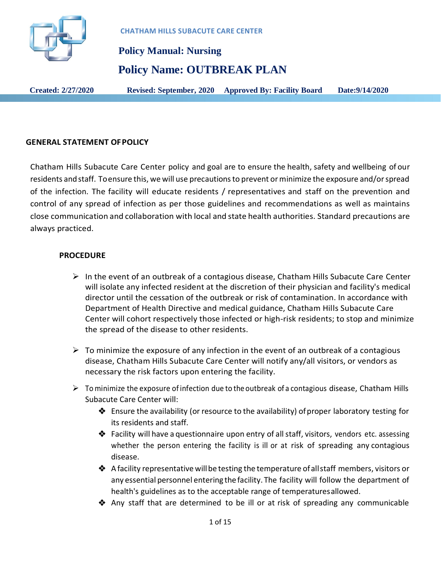

# **Policy Manual: Nursing Policy Name: OUTBREAK PLAN**

**Created: 2/27/2020 Revised: September, 2020 Approved By: Facility Board Date:9/14/2020**

### **GENERAL STATEMENT OFPOLICY**

Chatham Hills Subacute Care Center policy and goal are to ensure the health, safety and wellbeing of our residents and staff. To ensure this, we will use precautions to prevent or minimize the exposure and/or spread of the infection. The facility will educate residents / representatives and staff on the prevention and control of any spread of infection as per those guidelines and recommendations as well as maintains close communication and collaboration with local and state health authorities. Standard precautions are always practiced.

### **PROCEDURE**

- $\triangleright$  In the event of an outbreak of a contagious disease, Chatham Hills Subacute Care Center will isolate any infected resident at the discretion of their physician and facility's medical director until the cessation of the outbreak or risk of contamination. In accordance with Department of Health Directive and medical guidance, Chatham Hills Subacute Care Center will cohort respectively those infected or high-risk residents; to stop and minimize the spread of the disease to other residents.
- $\triangleright$  To minimize the exposure of any infection in the event of an outbreak of a contagious disease, Chatham Hills Subacute Care Center will notify any/all visitors, or vendors as necessary the risk factors upon entering the facility.
- $\triangleright$  To minimize the exposure of infection due to the outbreak of a contagious disease, Chatham Hills Subacute Care Center will:
	- ◆ Ensure the availability (or resource to the availability) of proper laboratory testing for its residents and staff.
	- $\clubsuit$  Facility will have a questionnaire upon entry of all staff, visitors, vendors etc. assessing whether the person entering the facility is ill or at risk of spreading any contagious disease.
	- $\triangleleft$  A facility representative will be testing the temperature of all staff members, visitors or any essential personnel entering the facility. The facility will follow the department of health's guidelines as to the acceptable range of temperaturesallowed.
	- $\clubsuit$  Any staff that are determined to be ill or at risk of spreading any communicable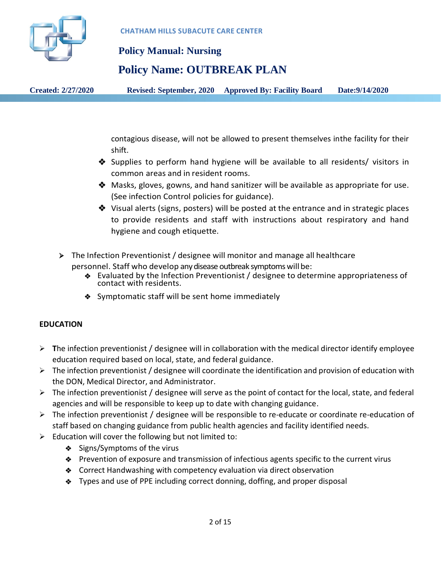

### **Policy Name: OUTBREAK PLAN**

**Created: 2/27/2020 Revised: September, 2020 Approved By: Facility Board Date:9/14/2020**

contagious disease, will not be allowed to present themselves inthe facility for their shift.

- Supplies to perform hand hygiene will be available to all residents/ visitors in common areas and in resident rooms.
- $\clubsuit$  Masks, gloves, gowns, and hand sanitizer will be available as appropriate for use. (See infection Control policies for guidance).
- $\triangle$  Visual alerts (signs, posters) will be posted at the entrance and in strategic places to provide residents and staff with instructions about respiratory and hand hygiene and cough etiquette.
- The Infection Preventionist / designee will monitor and manage all healthcare personnel. Staff who develop any disease outbreak symptoms will be:
	- Evaluated by the Infection Preventionist / designee to determine appropriateness of contact with residents.
	- ◆ Symptomatic staff will be sent home immediately

### **EDUCATION**

- $\triangleright$  The infection preventionist / designee will in collaboration with the medical director identify employee education required based on local, state, and federal guidance.
- $\triangleright$  The infection preventionist / designee will coordinate the identification and provision of education with the DON, Medical Director, and Administrator.
- $\triangleright$  The infection preventionist / designee will serve as the point of contact for the local, state, and federal agencies and will be responsible to keep up to date with changing guidance.
- $\triangleright$  The infection preventionist / designee will be responsible to re-educate or coordinate re-education of staff based on changing guidance from public health agencies and facility identified needs.
- $\triangleright$  Education will cover the following but not limited to:
	- ◆ Signs/Symptoms of the virus
	- Prevention of exposure and transmission of infectious agents specific to the current virus
	- ◆ Correct Handwashing with competency evaluation via direct observation
	- Types and use of PPE including correct donning, doffing, and proper disposal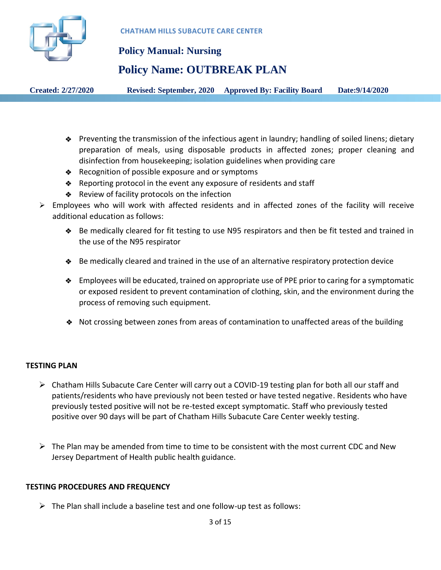

 **Policy Manual: Nursing**

### **Policy Name: OUTBREAK PLAN**

**Created: 2/27/2020 Revised: September, 2020 Approved By: Facility Board Date:9/14/2020**

- Preventing the transmission of the infectious agent in laundry; handling of soiled linens; dietary preparation of meals, using disposable products in affected zones; proper cleaning and disinfection from housekeeping; isolation guidelines when providing care
- ◆ Recognition of possible exposure and or symptoms
- Reporting protocol in the event any exposure of residents and staff
- ◆ Review of facility protocols on the infection
- $\triangleright$  Employees who will work with affected residents and in affected zones of the facility will receive additional education as follows:
	- Be medically cleared for fit testing to use N95 respirators and then be fit tested and trained in the use of the N95 respirator
	- Be medically cleared and trained in the use of an alternative respiratory protection device
	- ◆ Employees will be educated, trained on appropriate use of PPE prior to caring for a symptomatic or exposed resident to prevent contamination of clothing, skin, and the environment during the process of removing such equipment.
	- Not crossing between zones from areas of contamination to unaffected areas of the building

### **TESTING PLAN**

- $\triangleright$  Chatham Hills Subacute Care Center will carry out a COVID-19 testing plan for both all our staff and patients/residents who have previously not been tested or have tested negative. Residents who have previously tested positive will not be re-tested except symptomatic. Staff who previously tested positive over 90 days will be part of Chatham Hills Subacute Care Center weekly testing.
- $\triangleright$  The Plan may be amended from time to time to be consistent with the most current CDC and New Jersey Department of Health public health guidance.

### **TESTING PROCEDURES AND FREQUENCY**

 $\triangleright$  The Plan shall include a baseline test and one follow-up test as follows: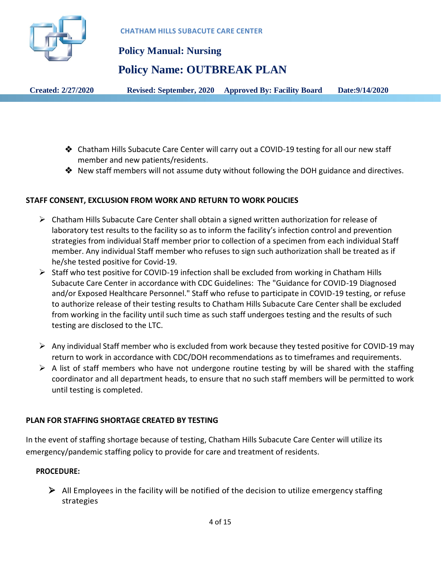

### **Policy Name: OUTBREAK PLAN**

**Created: 2/27/2020 Revised: September, 2020 Approved By: Facility Board Date:9/14/2020**

- Chatham Hills Subacute Care Center will carry out a COVID-19 testing for all our new staff member and new patients/residents.
- $\clubsuit$  New staff members will not assume duty without following the DOH guidance and directives.

### **STAFF CONSENT, EXCLUSION FROM WORK AND RETURN TO WORK POLICIES**

- $\triangleright$  Chatham Hills Subacute Care Center shall obtain a signed written authorization for release of laboratory test results to the facility so as to inform the facility's infection control and prevention strategies from individual Staff member prior to collection of a specimen from each individual Staff member. Any individual Staff member who refuses to sign such authorization shall be treated as if he/she tested positive for Covid-19.
- $\triangleright$  Staff who test positive for COVID-19 infection shall be excluded from working in Chatham Hills Subacute Care Center in accordance with CDC Guidelines: The "Guidance for COVID-19 Diagnosed and/or Exposed Healthcare Personnel." Staff who refuse to participate in COVID-19 testing, or refuse to authorize release of their testing results to Chatham Hills Subacute Care Center shall be excluded from working in the facility until such time as such staff undergoes testing and the results of such testing are disclosed to the LTC.
- Any individual Staff member who is excluded from work because they tested positive for COVID-19 may return to work in accordance with CDC/DOH recommendations as to timeframes and requirements.
- $\triangleright$  A list of staff members who have not undergone routine testing by will be shared with the staffing coordinator and all department heads, to ensure that no such staff members will be permitted to work until testing is completed.

### **PLAN FOR STAFFING SHORTAGE CREATED BY TESTING**

In the event of staffing shortage because of testing, Chatham Hills Subacute Care Center will utilize its emergency/pandemic staffing policy to provide for care and treatment of residents.

### **PROCEDURE:**

 $\triangleright$  All Employees in the facility will be notified of the decision to utilize emergency staffing strategies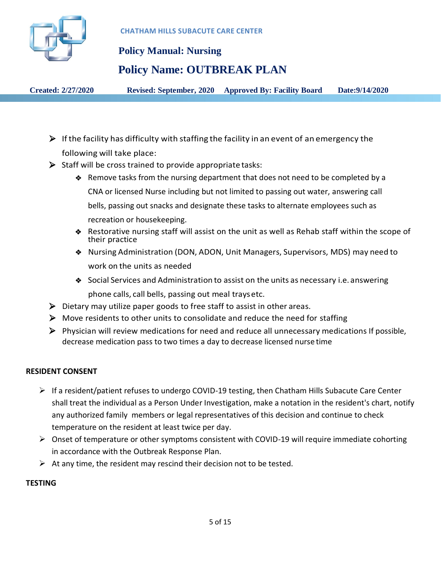

 **Policy Manual: Nursing**

# **Policy Name: OUTBREAK PLAN**

**Created: 2/27/2020 Revised: September, 2020 Approved By: Facility Board Date:9/14/2020**

- $\triangleright$  If the facility has difficulty with staffing the facility in an event of an emergency the following will take place:
- $\triangleright$  Staff will be cross trained to provide appropriate tasks:
	- Remove tasks from the nursing department that does not need to be completed by a CNA or licensed Nurse including but not limited to passing out water, answering call bells, passing out snacks and designate these tasks to alternate employees such as recreation or housekeeping.
	- Restorative nursing staff will assist on the unit as well as Rehab staff within the scope of their practice
	- Nursing Administration (DON, ADON, Unit Managers, Supervisors, MDS) may need to work on the units as needed
	- ◆ Social Services and Administration to assist on the units as necessary i.e. answering phone calls, call bells, passing out meal traysetc.
- $\triangleright$  Dietary may utilize paper goods to free staff to assist in other areas.
- $\triangleright$  Move residents to other units to consolidate and reduce the need for staffing
- $\triangleright$  Physician will review medications for need and reduce all unnecessary medications If possible, decrease medication pass to two times a day to decrease licensed nurse time

### **RESIDENT CONSENT**

- $\triangleright$  If a resident/patient refuses to undergo COVID-19 testing, then Chatham Hills Subacute Care Center shall treat the individual as a Person Under Investigation, make a notation in the resident's chart, notify any authorized family members or legal representatives of this decision and continue to check temperature on the resident at least twice per day.
- $\triangleright$  Onset of temperature or other symptoms consistent with COVID-19 will require immediate cohorting in accordance with the Outbreak Response Plan.
- $\triangleright$  At any time, the resident may rescind their decision not to be tested.

### **TESTING**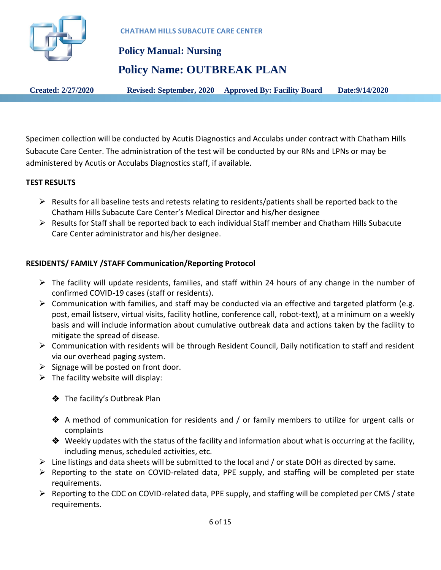

 **Policy Manual: Nursing Policy Name: OUTBREAK PLAN**

**Created: 2/27/2020 Revised: September, 2020 Approved By: Facility Board Date:9/14/2020**

Specimen collection will be conducted by Acutis Diagnostics and Acculabs under contract with Chatham Hills Subacute Care Center. The administration of the test will be conducted by our RNs and LPNs or may be administered by Acutis or Acculabs Diagnostics staff, if available.

### **TEST RESULTS**

- $\triangleright$  Results for all baseline tests and retests relating to residents/patients shall be reported back to the Chatham Hills Subacute Care Center's Medical Director and his/her designee
- $\triangleright$  Results for Staff shall be reported back to each individual Staff member and Chatham Hills Subacute Care Center administrator and his/her designee.

### **RESIDENTS/ FAMILY /STAFF Communication/Reporting Protocol**

- $\triangleright$  The facility will update residents, families, and staff within 24 hours of any change in the number of confirmed COVID-19 cases (staff or residents).
- $\triangleright$  Communication with families, and staff may be conducted via an effective and targeted platform (e.g. post, email listserv, virtual visits, facility hotline, conference call, robot-text), at a minimum on a weekly basis and will include information about cumulative outbreak data and actions taken by the facility to mitigate the spread of disease.
- $\triangleright$  Communication with residents will be through Resident Council, Daily notification to staff and resident via our overhead paging system.
- $\triangleright$  Signage will be posted on front door.
- $\triangleright$  The facility website will display:
	- The facility's Outbreak Plan
	- $\triangle$  A method of communication for residents and / or family members to utilize for urgent calls or complaints
	- $\clubsuit$  Weekly updates with the status of the facility and information about what is occurring at the facility, including menus, scheduled activities, etc.
- $\triangleright$  Line listings and data sheets will be submitted to the local and / or state DOH as directed by same.
- $\triangleright$  Reporting to the state on COVID-related data, PPE supply, and staffing will be completed per state requirements.
- $\triangleright$  Reporting to the CDC on COVID-related data, PPE supply, and staffing will be completed per CMS / state requirements.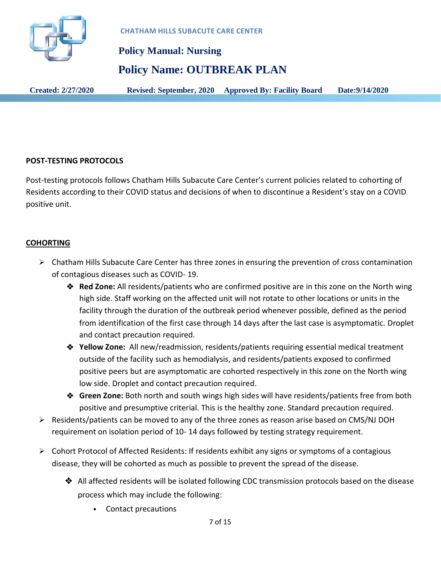

 **Policy Manual: Nursing Policy Name: OUTBREAK PLAN**

**Created: 2/27/2020 Revised: September, 2020 Approved By: Facility Board Date:9/14/2020**

### **POST-TESTING PROTOCOLS**

Post-testing protocols follows Chatham Hills Subacute Care Center's current policies related to cohorting of Residents according to their COVID status and decisions of when to discontinue a Resident's stay on a COVID positive unit.

### **COHORTING**

- $\triangleright$  Chatham Hills Subacute Care Center has three zones in ensuring the prevention of cross contamination of contagious diseases such as COVID- 19.
	- **Red Zone:** All residents/patients who are confirmed positive are in this zone on the North wing high side. Staff working on the affected unit will not rotate to other locations or units in the facility through the duration of the outbreak period whenever possible, defined as the period from identification of the first case through 14 days after the last case is asymptomatic. Droplet and contact precaution required.
	- **Yellow Zone:** All new/readmission, residents/patients requiring essential medical treatment outside of the facility such as hemodialysis, and residents/patients exposed to confirmed positive peers but are asymptomatic are cohorted respectively in this zone on the North wing low side. Droplet and contact precaution required.
	- **Green Zone:** Both north and south wings high sides will have residents/patients free from both positive and presumptive criterial. This is the healthy zone. Standard precaution required.
- $\triangleright$  Residents/patients can be moved to any of the three zones as reason arise based on CMS/NJ DOH requirement on isolation period of 10- 14 days followed by testing strategy requirement.
- Cohort Protocol of Affected Residents: If residents exhibit any signs or symptoms of a contagious disease, they will be cohorted as much as possible to prevent the spread of the disease.
	- All affected residents will be isolated following CDC transmission protocols based on the disease process which may include the following:
		- Contact precautions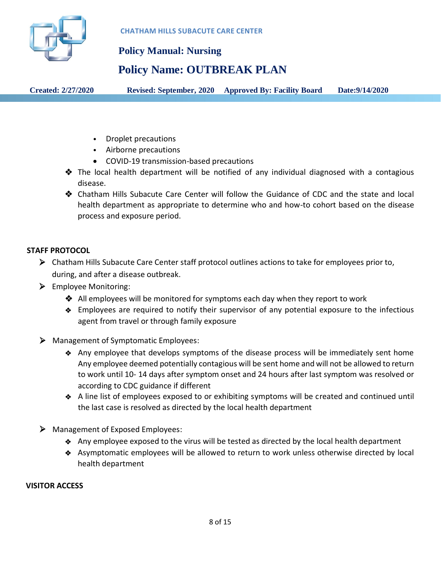

### **Policy Name: OUTBREAK PLAN**

**Created: 2/27/2020 Revised: September, 2020 Approved By: Facility Board Date:9/14/2020**

- Droplet precautions
- Airborne precautions
- COVID-19 transmission-based precautions
- $\hat{\mathbf{v}}$  The local health department will be notified of any individual diagnosed with a contagious disease.
- Chatham Hills Subacute Care Center will follow the Guidance of CDC and the state and local health department as appropriate to determine who and how-to cohort based on the disease process and exposure period.

### **STAFF PROTOCOL**

- Chatham Hills Subacute Care Center staff protocol outlines actions to take for employees prior to, during, and after a disease outbreak.
- $\triangleright$  Employee Monitoring:
	- All employees will be monitored for symptoms each day when they report to work
	- Employees are required to notify their supervisor of any potential exposure to the infectious agent from travel or through family exposure
- Management of Symptomatic Employees:
	- Any employee that develops symptoms of the disease process will be immediately sent home Any employee deemed potentially contagious will be sent home and will not be allowed to return to work until 10- 14 days after symptom onset and 24 hours after last symptom was resolved or according to CDC guidance if different
	- A line list of employees exposed to or exhibiting symptoms will be created and continued until the last case is resolved as directed by the local health department
- Management of Exposed Employees:
	- Any employee exposed to the virus will be tested as directed by the local health department
	- Asymptomatic employees will be allowed to return to work unless otherwise directed by local health department

### **VISITOR ACCESS**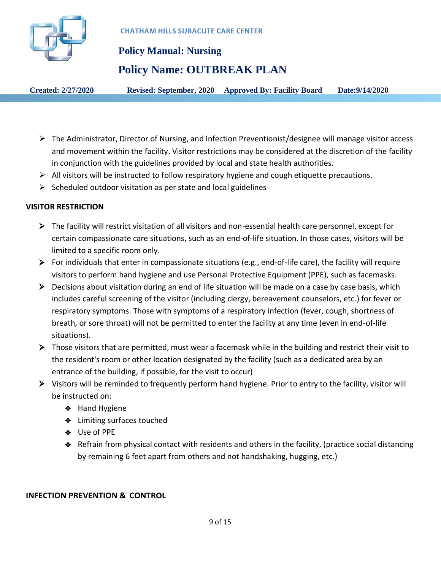

# **Policy Manual: Nursing**

### **Policy Name: OUTBREAK PLAN**

**Created: 2/27/2020 Revised: September, 2020 Approved By: Facility Board Date:9/14/2020**

- The Administrator, Director of Nursing, and Infection Preventionist/designee will manage visitor access and movement within the facility. Visitor restrictions may be considered at the discretion of the facility in conjunction with the guidelines provided by local and state health authorities.
- $\triangleright$  All visitors will be instructed to follow respiratory hygiene and cough etiquette precautions.
- $\triangleright$  Scheduled outdoor visitation as per state and local guidelines

### **VISITOR RESTRICTION**

- The facility will restrict visitation of all visitors and non-essential health care personnel, except for certain compassionate care situations, such as an end-of-life situation. In those cases, visitors will be limited to a specific room only.
- $\triangleright$  For individuals that enter in compassionate situations (e.g., end-of-life care), the facility will require visitors to perform hand hygiene and use Personal Protective Equipment (PPE), such as facemasks.
- $\triangleright$  Decisions about visitation during an end of life situation will be made on a case by case basis, which includes careful screening of the visitor (including clergy, bereavement counselors, etc.) for fever or respiratory symptoms. Those with symptoms of a respiratory infection (fever, cough, shortness of breath, or sore throat) will not be permitted to enter the facility at any time (even in end-of-life situations).
- Those visitors that are permitted, must wear a facemask while in the building and restrict their visit to the resident's room or other location designated by the facility (such as a dedicated area by an entrance of the building, if possible, for the visit to occur)
- Visitors will be reminded to frequently perform hand hygiene. Prior to entry to the facility, visitor will be instructed on:
	- $\triangleleft$  Hand Hygiene
	- ◆ Limiting surfaces touched
	- Use of PPE
	- Refrain from physical contact with residents and others in the facility, (practice social distancing by remaining 6 feet apart from others and not handshaking, hugging, etc.)

### **INFECTION PREVENTION & CONTROL**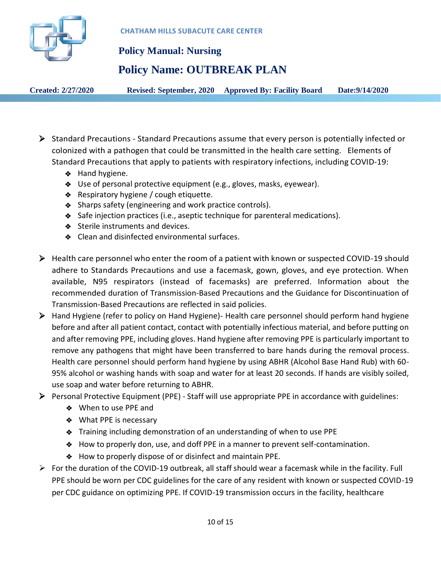

 **Policy Manual: Nursing**

# **Policy Name: OUTBREAK PLAN**

**Created: 2/27/2020 Revised: September, 2020 Approved By: Facility Board Date:9/14/2020**

- Standard Precautions *-* Standard Precautions assume that every person is potentially infected or colonized with a pathogen that could be transmitted in the health care setting. Elements of Standard Precautions that apply to patients with respiratory infections, including COVID-19:
	- ◆ Hand hygiene.
	- Use of personal protective equipment (e.g., gloves, masks, eyewear).
	- ◆ Respiratory hygiene / cough etiquette.
	- ◆ Sharps safety (engineering and work practice controls).
	- Safe injection practices (i.e., aseptic technique for parenteral medications).
	- Sterile instruments and devices.
	- ◆ Clean and disinfected environmental surfaces.
- $\triangleright$  Health care personnel who enter the room of a patient with known or suspected COVID-19 should adhere to Standards Precautions and use a facemask, gown, gloves, and eye protection. When available, N95 respirators (instead of facemasks) are preferred. Information about the recommended duration of Transmission-Based Precautions and the Guidance for Discontinuation of Transmission-Based Precautions are reflected in said policies.
- Hand Hygiene (refer to policy on Hand Hygiene)- Health care personnel should perform hand hygiene before and after all patient contact, contact with potentially infectious material, and before putting on and after removing PPE, including gloves. Hand hygiene after removing PPE is particularly important to remove any pathogens that might have been transferred to bare hands during the removal process. Health care personnel should perform hand hygiene by using ABHR (Alcohol Base Hand Rub) with 60- 95% alcohol or washing hands with soap and water for at least 20 seconds. If hands are visibly soiled, use soap and water before returning to ABHR.
- Personal Protective Equipment (PPE) Staff will use appropriate PPE in accordance with guidelines:
	- When to use PPE and
	- ◆ What PPE is necessary
	- Training including demonstration of an understanding of when to use PPE
	- How to properly don, use, and doff PPE in a manner to prevent self-contamination.
	- How to properly dispose of or disinfect and maintain PPE.
- $\triangleright$  For the duration of the COVID-19 outbreak, all staff should wear a facemask while in the facility. Full PPE should be worn per CDC guidelines for the care of any resident with known or suspected COVID-19 per CDC guidance on optimizing PPE. If COVID-19 transmission occurs in the facility, healthcare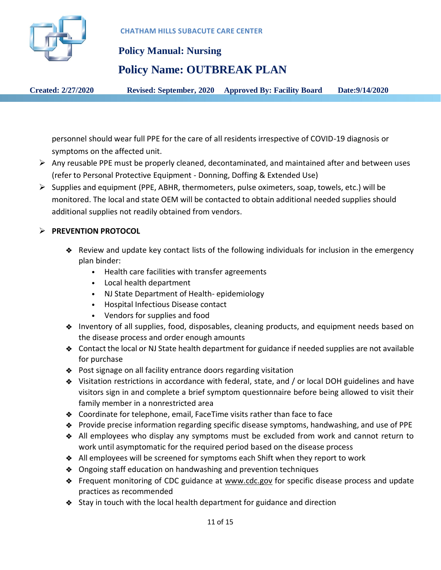

 **Policy Manual: Nursing**

# **Policy Name: OUTBREAK PLAN**

**Created: 2/27/2020 Revised: September, 2020 Approved By: Facility Board Date:9/14/2020**

personnel should wear full PPE for the care of all residents irrespective of COVID-19 diagnosis or symptoms on the affected unit.

- $\triangleright$  Any reusable PPE must be properly cleaned, decontaminated, and maintained after and between uses (refer to Personal Protective Equipment - Donning, Doffing & Extended Use)
- Supplies and equipment (PPE, ABHR, thermometers, pulse oximeters, soap, towels, etc.) will be monitored. The local and state OEM will be contacted to obtain additional needed supplies should additional supplies not readily obtained from vendors.

### **PREVENTION PROTOCOL**

- Review and update key contact lists of the following individuals for inclusion in the emergency plan binder:
	- Health care facilities with transfer agreements
	- Local health department
	- NJ State Department of Health- epidemiology
	- Hospital Infectious Disease contact
	- Vendors for supplies and food
- Inventory of all supplies, food, disposables, cleaning products, and equipment needs based on the disease process and order enough amounts
- Contact the local or NJ State health department for guidance if needed supplies are not available for purchase
- ◆ Post signage on all facility entrance doors regarding visitation
- Visitation restrictions in accordance with federal, state, and / or local DOH guidelines and have visitors sign in and complete a brief symptom questionnaire before being allowed to visit their family member in a nonrestricted area
- ◆ Coordinate for telephone, email, FaceTime visits rather than face to face
- Provide precise information regarding specific disease symptoms, handwashing, and use of PPE
- All employees who display any symptoms must be excluded from work and cannot return to work until asymptomatic for the required period based on the disease process
- All employees will be screened for symptoms each Shift when they report to work
- Ongoing staff education on handwashing and prevention techniques
- Frequent monitoring of CDC guidance at www.cdc.gov for specific disease process and update practices as recommended
- Stay in touch with the local health department for guidance and direction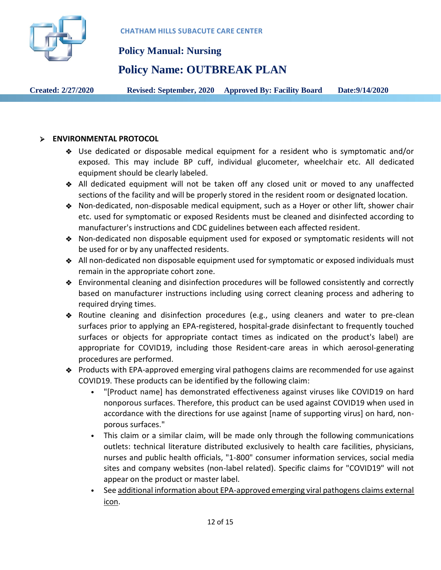

### **Policy Name: OUTBREAK PLAN**

**Created: 2/27/2020 Revised: September, 2020 Approved By: Facility Board Date:9/14/2020**

### **ENVIRONMENTAL PROTOCOL**

- Use dedicated or disposable medical equipment for a resident who is symptomatic and/or exposed. This may include BP cuff, individual glucometer, wheelchair etc. All dedicated equipment should be clearly labeled.
- All dedicated equipment will not be taken off any closed unit or moved to any unaffected sections of the facility and will be properly stored in the resident room or designated location.
- Non-dedicated, non-disposable medical equipment, such as a Hoyer or other lift, shower chair etc. used for symptomatic or exposed Residents must be cleaned and disinfected according to manufacturer's instructions and CDC guidelines between each affected resident.
- Non-dedicated non disposable equipment used for exposed or symptomatic residents will not be used for or by any unaffected residents.
- All non-dedicated non disposable equipment used for symptomatic or exposed individuals must remain in the appropriate cohort zone.
- Environmental cleaning and disinfection procedures will be followed consistently and correctly based on manufacturer instructions including using correct cleaning process and adhering to required drying times.
- Routine cleaning and disinfection procedures (e.g., using cleaners and water to pre-clean surfaces prior to applying an EPA-registered, hospital-grade disinfectant to frequently touched surfaces or objects for appropriate contact times as indicated on the product's label) are appropriate for COVID19, including those Resident-care areas in which aerosol-generating procedures are performed.
- ◆ Products with EPA-approved emerging viral pathogens claims are recommended for use against COVID19. These products can be identified by the following claim:
	- "[Product name] has demonstrated effectiveness against viruses like COVID19 on hard nonporous surfaces. Therefore, this product can be used against COVID19 when used in accordance with the directions for use against [name of supporting virus] on hard, nonporous surfaces."
	- This claim or a similar claim, will be made only through the following communications outlets: technical literature distributed exclusively to health care facilities, physicians, nurses and public health officials, "1-800" consumer information services, social media sites and company websites (non-label related). Specific claims for "COVID19" will not appear on the product or master label.
	- See additional information about EPA-approved emerging viral pathogens claims external icon.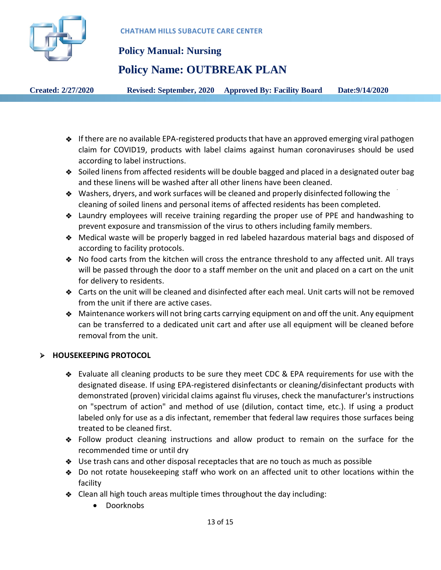

# **Policy Name: OUTBREAK PLAN**

**Created: 2/27/2020 Revised: September, 2020 Approved By: Facility Board Date:9/14/2020**

- 
- If there are no available EPA-registered products that have an approved emerging viral pathogen claim for COVID19, products with label claims against human coronaviruses should be used according to label instructions.
- Soiled linens from affected residents will be double bagged and placed in a designated outer bag and these linens will be washed after all other linens have been cleaned.
- Washers, dryers, and work surfaces will be cleaned and properly disinfected following the cleaning of soiled linens and personal items of affected residents has been completed.
- Laundry employees will receive training regarding the proper use of PPE and handwashing to prevent exposure and transmission of the virus to others including family members.
- Medical waste will be properly bagged in red labeled hazardous material bags and disposed of according to facility protocols.
- No food carts from the kitchen will cross the entrance threshold to any affected unit. All trays will be passed through the door to a staff member on the unit and placed on a cart on the unit for delivery to residents.
- Carts on the unit will be cleaned and disinfected after each meal. Unit carts will not be removed from the unit if there are active cases.
- Maintenance workers will not bring carts carrying equipment on and off the unit. Any equipment can be transferred to a dedicated unit cart and after use all equipment will be cleaned before removal from the unit.

### **HOUSEKEEPING PROTOCOL**

- Evaluate all cleaning products to be sure they meet CDC & EPA requirements for use with the designated disease. If using EPA-registered disinfectants or cleaning/disinfectant products with demonstrated (proven) viricidal claims against flu viruses, check the manufacturer's instructions on "spectrum of action" and method of use (dilution, contact time, etc.). If using a product labeled only for use as a dis infectant, remember that federal law requires those surfaces being treated to be cleaned first.
- Follow product cleaning instructions and allow product to remain on the surface for the recommended time or until dry
- Use trash cans and other disposal receptacles that are no touch as much as possible
- Do not rotate housekeeping staff who work on an affected unit to other locations within the facility
- Clean all high touch areas multiple times throughout the day including:
	- Doorknobs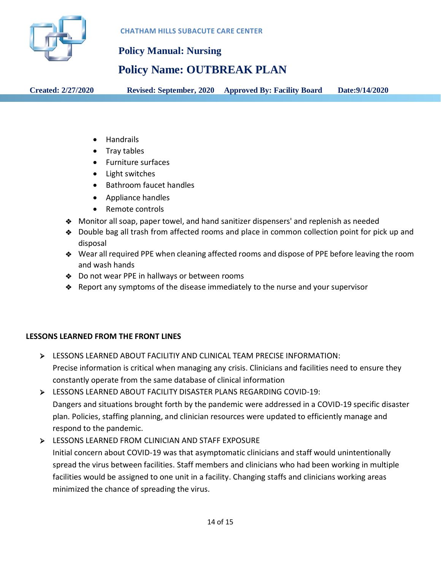

### **Policy Name: OUTBREAK PLAN**

**Created: 2/27/2020 Revised: September, 2020 Approved By: Facility Board Date:9/14/2020**

- Handrails
- Tray tables
- Furniture surfaces
- Light switches
- Bathroom faucet handles
- Appliance handles
- Remote controls
- Monitor all soap, paper towel, and hand sanitizer dispensers' and replenish as needed
- Double bag all trash from affected rooms and place in common collection point for pick up and disposal
- Wear all required PPE when cleaning affected rooms and dispose of PPE before leaving the room and wash hands
- ◆ Do not wear PPE in hallways or between rooms
- $\triangle$  Report any symptoms of the disease immediately to the nurse and your supervisor

### **LESSONS LEARNED FROM THE FRONT LINES**

- LESSONS LEARNED ABOUT FACILITIY AND CLINICAL TEAM PRECISE INFORMATION: Precise information is critical when managing any crisis. Clinicians and facilities need to ensure they constantly operate from the same database of clinical information
- LESSONS LEARNED ABOUT FACILITY DISASTER PLANS REGARDING COVID-19: Dangers and situations brought forth by the pandemic were addressed in a COVID-19 specific disaster plan. Policies, staffing planning, and clinician resources were updated to efficiently manage and respond to the pandemic.
- ESSONS LEARNED FROM CLINICIAN AND STAFF EXPOSURE

Initial concern about COVID-19 was that asymptomatic clinicians and staff would unintentionally spread the virus between facilities. Staff members and clinicians who had been working in multiple facilities would be assigned to one unit in a facility. Changing staffs and clinicians working areas minimized the chance of spreading the virus.